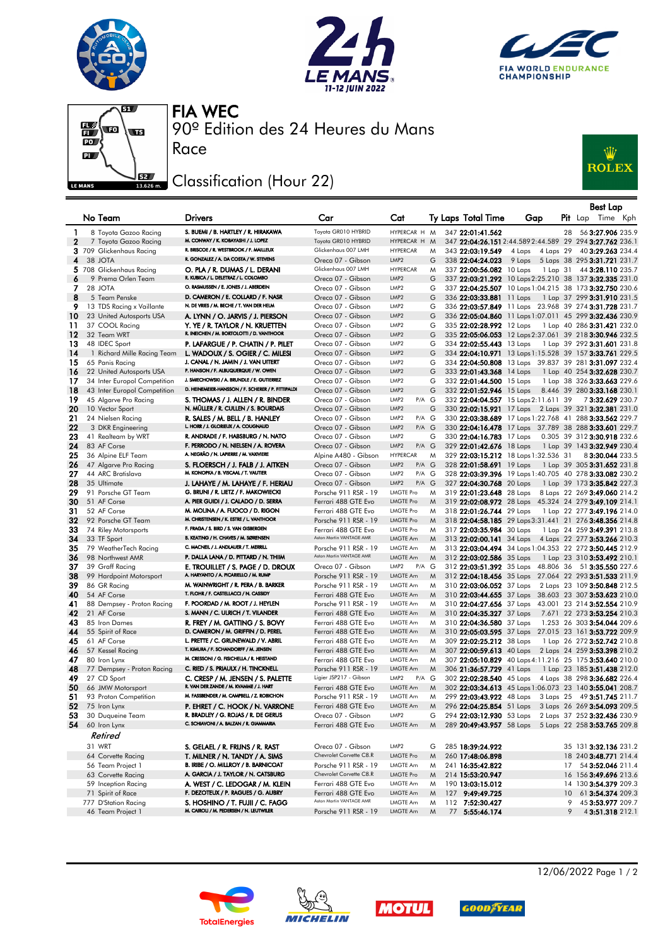







90º Edition des 24 Heures du Mans FIA WEC

## Classification (Hour 22)

Race



|              |                                            |                                                                                   |                                            |                                                  |        |                                                                  |                     |    | <b>Best Lap</b>                                                                               |
|--------------|--------------------------------------------|-----------------------------------------------------------------------------------|--------------------------------------------|--------------------------------------------------|--------|------------------------------------------------------------------|---------------------|----|-----------------------------------------------------------------------------------------------|
|              | No Team                                    | <b>Drivers</b>                                                                    | Car                                        | Cat                                              |        | <b>Ty Laps Total Time</b>                                        | Gap                 |    | <b>Pit</b> Lap Time Kph                                                                       |
|              |                                            |                                                                                   |                                            |                                                  |        |                                                                  |                     |    |                                                                                               |
| $\mathbf{1}$ | 8 Toyota Gazoo Racing                      | S. BUEMI / B. HARTLEY / R. HIRAKAWA                                               | Toyota GR010 HYBRID                        | HYPERCAR H M                                     |        | 347 22:01:41.562                                                 |                     | 28 | 56 3:27.906 235.9                                                                             |
| $\mathbf{2}$ | 7 Toyota Gazoo Racing                      | M. CONWAY / K. KOBAYASHI / J. LOPEZ                                               | Toyota GR010 HYBRID                        | HYPERCAR H                                       | M      |                                                                  |                     |    | 347 22:04:26.151 2:44.589 2:44.589 29 294 3:27.762 236.1                                      |
|              | 3 709 Glickenhaus Racing                   | R. BRISCOE / R. WESTBROOK / F. MAILLEUX<br>R. GONZALEZ / A. DA COSTA / W. STEVENS | Glickenhaus 007 LMH                        | <b>HYPERCAR</b>                                  | M      | 343 22:03:19.549                                                 | 4 Laps<br>4 Laps 29 |    | 40 3:29.263 234.4                                                                             |
| 4            | 38 JOTA                                    |                                                                                   | Oreca 07 - Gibson                          | LMP <sub>2</sub>                                 | G      | 338 22:04:24.023                                                 |                     |    | 9 Laps 5 Laps 38 295 3:31.721 231.7                                                           |
|              | 5 708 Glickenhaus Racing                   | O. PLA / R. DUMAS / L. DERANI<br>R. KUBICA / L. DELETRAZ / L. COLOMBO             | Glickenhaus 007 LMH                        | <b>HYPERCAR</b><br>LMP <sub>2</sub>              | M      | 337 22:00:56.082 10 Laps                                         |                     |    | 1 Lap 31 44 3:28.110 235.7                                                                    |
| 6<br>7       | 9 Prema Orlen Team<br>28 JOTA              | O. RASMUSSEN / E. JONES / J. ABERDEIN                                             | Oreca 07 - Gibson<br>Oreca 07 - Gibson     | LMP <sub>2</sub>                                 | G<br>G |                                                                  |                     |    | 337 22:03:21.292 10 Laps 2:25.210 38 137 3:32.335 231.0                                       |
| 8            | 5 Team Penske                              | D. CAMERON / E. COLLARD / F. NASR                                                 | Oreca 07 - Gibson                          | LMP <sub>2</sub>                                 | G      | 336 22:03:33.881 11 Laps                                         |                     |    | 337 22:04:25.507 10 Laps 1:04.215 38 173 3:32.750 230.6<br>1 Lap 37 299 <b>3:31.910</b> 231.5 |
| 9            | 13 TDS Racing x Vaillante                  | N. DE VRIES / M. BECHE / T. VAN DER HELM                                          | Oreca 07 - Gibson                          | LMP <sub>2</sub>                                 | G      |                                                                  |                     |    | 336 22:03:57.849 11 Laps 23.968 39 274 3:31.728 231.7                                         |
| 10           | 23 United Autosports USA                   | A. LYNN / O. JARVIS / J. PIERSON                                                  | Oreca 07 - Gibson                          | LMP <sub>2</sub>                                 | G      |                                                                  |                     |    | 336 22:05:04.860 11 Laps 1:07.011 45 299 3:32.436 230.9                                       |
| 11           | 37 COOL Racing                             | Y. YE / R. TAYLOR / N. KRUETTEN                                                   | Oreca 07 - Gibson                          | LMP <sub>2</sub>                                 | G      | 335 22:02:28.992 12 Laps                                         |                     |    | 1 Lap 40 286 3:31.421 232.0                                                                   |
| 12           | 32 Team WRT                                | R. INEICHEN / M. BORTOLOTTI / D. VANTHOOR                                         | Oreca 07 - Gibson                          | LMP <sub>2</sub>                                 | G      |                                                                  |                     |    | 335 22:05:06.053 12 Laps 2:37.061 39 218 3:30.946 232.5                                       |
| 13           | 48 IDEC Sport                              | P. LAFARGUE / P. CHATIN / P. PILET                                                | Oreca 07 - Gibson                          | LMP <sub>2</sub>                                 | G      | 334 22:02:55.443 13 Laps                                         |                     |    | 1 Lap 39 292 3:31.601 231.8                                                                   |
| 14           | 1 Richard Mille Racing Team                | L. WADOUX / S. OGIER / C. MILESI                                                  | Oreca 07 - Gibson                          | LMP <sub>2</sub>                                 | G      |                                                                  |                     |    | 334 22:04:10.971 13 Laps 1:15.528 39 157 3:33.761 229.5                                       |
| 15           | 65 Panis Racing                            | J. CANAL / N. JAMIN / J. VAN UITERT                                               | Oreca 07 - Gibson                          | LMP <sub>2</sub>                                 | G      |                                                                  |                     |    | 334 22:04:50.808 13 Laps 39.837 39 281 3:31.097 232.4                                         |
| 16           | 22 United Autosports USA                   | P. HANSON / F. ALBUQUERQUE / W. OWEN                                              | Oreca 07 - Gibson                          | LMP <sub>2</sub>                                 | G      | 333 22:01:43.368 14 Laps                                         |                     |    | 1 Lap 40 254 3:32.628 230.7                                                                   |
| 17           | 34 Inter Europol Competition               | J. SMIECHOWSKI / A. BRUNDLE / E. GUTIERREZ                                        | Oreca 07 - Gibson                          | LMP <sub>2</sub>                                 | G      | 332 22:01:44.500 15 Laps                                         |                     |    | 1 Lap 38 326 3:33.663 229.6                                                                   |
| 18           | 43 Inter Europol Competition               | D. HEINEMEIER-HANSSON / F. SCHERER / P. FITTIPALDI                                | Oreca 07 - Gibson                          | LMP <sub>2</sub>                                 | G      | 332 22:01:52.946 15 Laps                                         |                     |    | 8.446 39 280 3:33.168 230.1                                                                   |
| 19           | 45 Algarve Pro Racing                      | S. THOMAS / J. ALLEN / R. BINDER                                                  | Oreca 07 - Gibson                          | $P/A$ $G$<br>LMP <sub>2</sub>                    |        | 332 22:04:04.557 15 Laps 2:11.611 39                             |                     |    | 73:32.629 230.7                                                                               |
| 20           | 10 Vector Sport                            | N. MÜLLER / R. CULLEN / S. BOURDAIS                                               | Oreca 07 - Gibson                          | LMP <sub>2</sub>                                 | G      |                                                                  |                     |    | 330 22:02:15.921 17 Laps 2 Laps 39 321 3:32.381 231.0                                         |
| 21           | 24 Nielsen Racing                          | R. SALES / M. BELL / B. HANLEY                                                    | Oreca 07 - Gibson                          | P/A G<br>LMP <sub>2</sub>                        |        |                                                                  |                     |    | 330 22:03:38.689 17 Laps 1:22.768 41 288 3:33.562 229.7                                       |
| 22           | 3 DKR Engineering                          | L. HORR / J. GLORIEUX / A. COUGNAUD                                               | Oreca 07 - Gibson                          | LMP <sub>2</sub><br>$P/A$ $G$                    |        |                                                                  |                     |    | 330 22:04:16.478 17 Laps 37.789 38 288 3:33.601 229.7                                         |
| 23           | 41 Realteam by WRT                         | R. ANDRADE / F. HABSBURG / N. NATO                                                | Oreca 07 - Gibson                          | LMP <sub>2</sub>                                 | G      | 330 22:04:16.783 17 Laps                                         |                     |    | 0.305 39 312 3:30.918 232.6                                                                   |
| 24           | 83 AF Corse                                | F. PERRODO / N. NIELSEN / A. ROVERA<br>A. NEGRÃO / N. LAPIERRE / M. VAXIVIERE     | Oreca 07 - Gibson                          | LMP <sub>2</sub><br>$P/A$ $G$<br><b>HYPERCAR</b> |        | 329 22:01:42.676 18 Laps                                         |                     |    | 1 Lap 39 143 3:32.949 230.4                                                                   |
| 25<br>26     | 36 Alpine ELF Team                         | S. FLOERSCH / J. FALB / J. AITKEN                                                 | Alpine A480 - Gibson<br>Oreca 07 - Gibson  | LMP <sub>2</sub><br>$P/A$ $G$                    | M      | 329 22:03:15.212 18 Laps 1:32.536 31<br>328 22:01:58.691 19 Laps |                     |    | 83:30.044 233.5                                                                               |
| 27           | 47 Algarve Pro Racing<br>44 ARC Bratislava | M. KONOPKA / B. VISCAAL / T. VAUTIER                                              | Oreca 07 - Gibson                          | LMP <sub>2</sub><br>P/A G                        |        |                                                                  |                     |    | 1 Lap 39 305 <b>3:31.652</b> 231.8<br>328 22:03:39.396 19 Laps 1:40.705 40 278 3:33.082 230.2 |
| 28           | 35 Ultimate                                | J. LAHAYE / M. LAHAYE / F. HERIAU                                                 | Oreca 07 - Gibson                          | LMP <sub>2</sub><br>$P/A$ $G$                    |        | 327 22:04:30.768 20 Laps                                         |                     |    | 1 Lap 39 173 3:35.842 227.3                                                                   |
| 29           | 91 Porsche GT Team                         | G. BRUNI / R. LIETZ / F. MAKOWIECKI                                               | Porsche 911 RSR - 19                       | <b>LMGTE Pro</b>                                 | M      | 319 22:01:23.648 28 Laps                                         |                     |    | 8 Laps 22 269 3:49.060 214.2                                                                  |
| 30           | 51 AF Corse                                | A. PIER GUIDI / J. CALADO / D. SERRA                                              | Ferrari 488 GTE Evo                        | <b>LMGTE Pro</b>                                 | M      |                                                                  |                     |    | 319 22:02:08.972 28 Laps 45.324 24 279 3:49.109 214.1                                         |
| 31           | 52 AF Corse                                | M. MOLINA / A. FUOCO / D. RIGON                                                   | Ferrari 488 GTE Evo                        | <b>LMGTE Pro</b>                                 | M      | 318 22:01:26.744 29 Laps                                         |                     |    | 1 Lap 22 277 3:49.196 214.0                                                                   |
| 32           | 92 Porsche GT Team                         | M. CHRISTENSEN / K. ESTRE / L. VANTHOOR                                           | Porsche 911 RSR - 19                       | <b>LMGTE Pro</b>                                 | M      |                                                                  |                     |    | 318 22:04:58.185 29 Laps 3:31.441 21 276 3:48.356 214.8                                       |
| 33           | 74 Riley Motorsports                       | F. FRAGA / S. BIRD / S. VAN GISBERGEN                                             | Ferrari 488 GTE Evo                        | <b>LMGTE Pro</b>                                 | M      | 317 22:03:35.984 30 Laps                                         |                     |    | 1 Lap 24 259 3:49.391 213.8                                                                   |
| 34           | 33 TF Sport                                | B. KEATING / H. CHAVES / M. SØRENSEN                                              | Aston Martin VANTAGE AMR                   | LMGTE Am                                         | M      | 313 22:02:00.141 34 Laps                                         |                     |    | 4 Laps 22 277 3:53.266 210.3                                                                  |
| 35           | 79 WeatherTech Racing                      | C. MACNEIL / J. ANDLAUER / T. MERRILL                                             | Porsche 911 RSR - 19                       | <b>LMGTE Am</b>                                  | M      |                                                                  |                     |    | 313 22:03:04.494 34 Laps 1:04.353 22 272 3:50.445 212.9                                       |
| 36           | 98 Northwest AMR                           | P. DALLA LANA / D. PITTARD / N. THIIM                                             | Aston Martin VANTAGE AMR                   | LMGTE Am                                         | M      | 312 22:03:02.586 35 Laps                                         |                     |    | 1 Lap 23 310 3:53.492 210.1                                                                   |
| 37           | 39 Graff Racing                            | E. TROUILLET / S. PAGE / D. DROUX                                                 | Oreca 07 - Gibson                          | LMP2<br>P/A                                      | G      |                                                                  |                     |    | 312 22:03:51.392 35 Laps 48.806 36 51 3:35.550 227.6                                          |
| 38           | 99 Hardpoint Motorsport                    | A. HARYANTO / A. PICARIELLO / M. RUMP                                             | Porsche 911 RSR - 19                       | LMGTE Am                                         | M      |                                                                  |                     |    | 312 22:04:18.456 35 Laps 27.064 22 293 3:51.533 211.9                                         |
| 39           | 86 GR Racing                               | M. WAINWRIGHT / R. PERA / B. BARKER<br>T. FLOHR / F. CASTELLACCI / N. CASSIDY     | Porsche 911 RSR - 19                       | <b>LMGTE Am</b>                                  | M      | 310 22:03:06.052 37 Laps                                         |                     |    | 2 Laps 23 109 3:50.848 212.5                                                                  |
| 40           | 54 AF Corse                                | F. POORDAD / M. ROOT / J. HEYLEN                                                  | Ferrari 488 GTE Evo                        | LMGTE Am                                         | M      |                                                                  |                     |    | 310 22:03:44.655 37 Laps 38.603 23 307 3:53.623 210.0                                         |
| 41<br>42     | 88 Dempsey - Proton Racing                 | S. MANN / C. ULRICH / T. VILANDER                                                 | Porsche 911 RSR - 19                       | LMGTE Am<br>LMGTE Am                             | M      |                                                                  |                     |    | 310 22:04:27.656 37 Laps 43.001 23 214 3:52.554 210.9                                         |
| 43           | 21 AF Corse<br>85 Iron Dames               | R. FREY / M. GATTING / S. BOVY                                                    | Ferrari 488 GTE Evo<br>Ferrari 488 GTE Evo | <b>LMGTE Am</b>                                  | M<br>M | 310 22:04:35.327 37 Laps<br>310 22:04:36.580 37 Laps             |                     |    | 7.671 22 273 3:53.254 210.3<br>1.253 26 303 3:54.044 209.6                                    |
| 44           | 55 Spirit of Race                          | D. CAMERON / M. GRIFFIN / D. PEREL                                                | Ferrari 488 GTE Evo                        | LMGTE Am                                         | M      |                                                                  |                     |    | 310 22:05:03.595 37 Laps 27.015 23 161 3:53.722 209.9                                         |
| 45           | 61 AF Corse                                | L. PRETTE / C. GRUNEWALD / V. ABRIL                                               | Ferrari 488 GTE Evo                        | LMGTE Am                                         | M      | 309 22:02:25.212 38 Laps                                         |                     |    | 1 Lap 26 272 3:52.742 210.8                                                                   |
| 46           | 57 Kessel Racing                           | T. KIMURA / F. SCHANDORFF / M. JENSEN                                             | Ferrari 488 GTE Evo                        | LMGTE Am                                         | M      | 307 22:00:59.613 40 Laps                                         |                     |    | 2 Laps 24 259 3:53.398 210.2                                                                  |
| 47           | 80 Iron Lynx                               | M. CRESSONI / G. FISICHELLA / R. HEISTAND                                         | Ferrari 488 GTE Evo                        | LMGTE Am                                         | M      |                                                                  |                     |    | 307 22:05:10.829 40 Laps 4:11.216 25 175 3:53.640 210.0                                       |
| 48           | 77 Dempsey - Proton Racing                 | C. RIED / S. PRIAULX / H. TINCKNELL                                               | Porsche 911 RSR - 19                       | LMGTE Am                                         | M      | 306 21:36:57.729 41 Laps                                         |                     |    | 1 Lap 23 185 3:51.438 212.0                                                                   |
| 49           | 27 CD Sport                                | C. CRESP / M. JENSEN / S. PALETTE                                                 | Ligier JSP217 - Gibson                     | LMP2<br>$P/A$ G                                  |        | 302 22:02:28.540 45 Laps                                         |                     |    | 4 Laps 38 298 3:36.682 226.4                                                                  |
| 50           | 66 JMW Motorsport                          | R. VAN DER ZANDE / M. KVAMME / J. HART                                            | Ferrari 488 GTE Evo                        | LMGTE Am                                         | M      |                                                                  |                     |    | 302 22:03:34.613 45 Laps 1:06.073 23 140 3:55.041 208.7                                       |
| 51           | 93 Proton Competition                      | M. FASSBENDER / M. CAMPBELL / Z. ROBICHON                                         | Porsche 911 RSR - 19                       | <b>LMGTE Am</b>                                  | M      |                                                                  |                     |    | 299 22:03:43.922 48 Laps 3 Laps 25 49 3:51.745 211.7                                          |
| 52           | 75 Iron Lynx                               | P. EHRET / C. HOOK / N. VARRONE                                                   | Ferrari 488 GTE Evo                        | LMGTE Am                                         | M      |                                                                  |                     |    | 296 22:04:25.854 51 Laps 3 Laps 26 269 3:54.093 209.5                                         |
| 53           | 30 Duqueine Team                           | R. BRADLEY / G. ROJAS / R. DE GERUS                                               | Oreca 07 - Gibson                          | LMP <sub>2</sub>                                 | G      | 294 22:03:12.930 53 Laps                                         |                     |    | 2 Laps 37 252 3:32.436 230.9                                                                  |
| 54           | 60 Iron Lynx                               | C. SCHIAVONI / A. BALZAN / R. GIAMMARIA                                           | Ferrari 488 GTE Evo                        | LMGTE Am                                         | M      | 289 20:49:43.957 58 Laps                                         |                     |    | 5 Laps 22 258 3:53.765 209.8                                                                  |
|              | Retired                                    |                                                                                   |                                            |                                                  |        |                                                                  |                     |    |                                                                                               |
|              | 31 WRT                                     | S. GELAEL / R. FRIJNS / R. RAST                                                   | Oreca 07 - Gibson                          | LMP2                                             | G      | 285 18:39:24.922                                                 |                     |    | 35 131 3:32.136 231.2                                                                         |
|              | 64 Corvette Racing                         | T. MILNER / N. TANDY / A. SIMS                                                    | Chevrolet Corvette C8.R                    | <b>LMGTE Pro</b>                                 | M      | 260 17:48:06.898                                                 |                     |    | 18 240 3:48.771 214.4                                                                         |
|              | 56 Team Project 1                          | B. IRIBE / O. MILLROY / B. BARNICOAT                                              | Porsche 911 RSR - 19                       | LMGTE Am                                         | M      | 241 16:35:42.822                                                 |                     | 17 | 54 3:52.046 211.4                                                                             |
|              | 63 Corvette Racing                         | A. GARCIA / J. TAYLOR / N. CATSBURG                                               | Chevrolet Corvette C8.R                    | <b>LMGTE Pro</b>                                 | M      | 214 15:53:20.947                                                 |                     |    | 16 156 3:49.696 213.6                                                                         |
|              | 59 Inception Racing                        | A. WEST / C. LEDOGAR / M. KLEIN                                                   | Ferrari 488 GTE Evo                        | LMGTE Am                                         | M      | 190 13:03:15.012                                                 |                     |    | 14 130 3:54.379 209.3                                                                         |
|              | 71 Spirit of Race                          | F. DEZOTEUX / P. RAGUES / G. AUBRY                                                | Ferrari 488 GTE Evo                        | LMGTE Am                                         | M      | 127 9:49:49.725                                                  |                     | 10 | 61 3:54.374 209.3                                                                             |
|              | 777 D'Station Racing                       | S. HOSHINO / T. FUJII / C. FAGG                                                   | Aston Martin VANTAGE AMR                   | LMGTE Am                                         | M      | 112 7:52:30.427                                                  |                     | 9  | 45 3:53.977 209.7                                                                             |
|              | 46 Team Project 1                          | M. CAIROLI / M. PEDERSEN / N. LEUTWILER                                           | Porsche 911 RSR - 19                       | LMGTE Am                                         | M      | 77 5:55:46.174                                                   |                     | 9  | 4 3:51.318 212.1                                                                              |









12/06/2022 Page 1 / 2